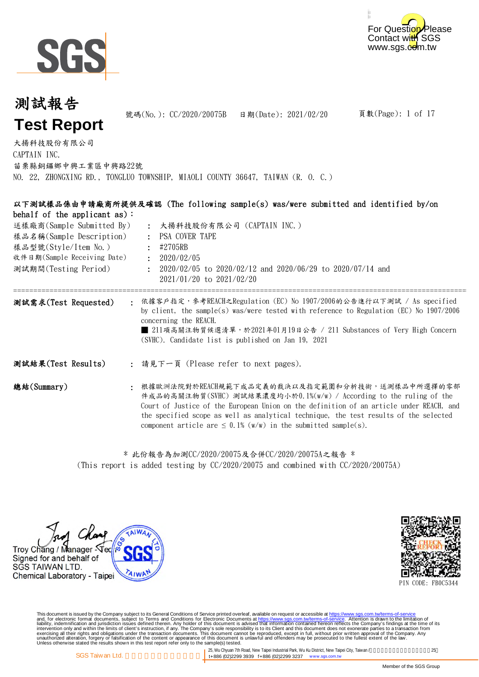



頁數(Page): 1 of 17 : : PSA COVER TAPE : : 大揚科技股份有限公司 CAPTAIN INC. 苗栗縣銅鑼鄉中興工業區中興路22號 NO. 22, ZHONGXING RD., TONGLUO TOWNSHIP, MIAOLI COUNTY 36647, TAIWAN (R. O. C.) 樣品型號(Style/Item No.) 送樣廠商(Sample Submitted By) 大揚科技股份有限公司 (CAPTAIN INC.) 收件日期(Sample Receiving Date) #2705RB 樣品名稱(Sample Description) 2020/02/05 測試報告 **Test Report** 號碼(No.): CC/2020/20075B 日期(Date): 2021/02/20 以下測試樣品係由申請廠商所提供及確認 (The following sample(s) was/were submitted and identified by/on behalf of the applicant as):

測試期間(Testing Period) 2020/02/05 to 2020/02/12 and 2020/06/29 to 2020/07/14 and 2021/01/20 to 2021/02/20

:

=================================================================================================================== : : 請見下一頁 (Please refer to next pages). 依據客戶指定,參考REACH之Regulation (EC) No 1907/2006的公告進行以下測試 / As specified by client, the sample(s) was/were tested with reference to Regulation (EC) No 1907/2006 concerning the REACH. ■ 211項高關注物質候選清單, 於2021年01月19日公告 / 211 Substances of Very High Concern (SVHC). Candidate list is published on Jan 19, 2021 測試需求(Test Requested) 測試結果(Test Results)

: 根據歐洲法院對於REACH規範下成品定義的裁決以及指定範圍和分析技術,送測樣品中所選擇的零部 總結(Summary) 件成品的高關注物質(SVHC) 測試結果濃度均小於0.1%(w/w) / According to the ruling of the Court of Justice of the European Union on the definition of an article under REACH, and the specified scope as well as analytical technique, the test results of the selected component article are  $\leq 0.1\%$  (w/w) in the submitted sample(s).

> (This report is added testing by CC/2020/20075 and combined with CC/2020/20075A) \* 此份報告為加測CC/2020/20075及合併CC/2020/20075A之報告 \*





PIN CODE: FB0C5344

This document is issued by the Company subject to its General Conditions of Service printed overleaf, available on request or accessible at https://www.sgs.com.tw/terms-of-service<br>and, for electronic format documents, subj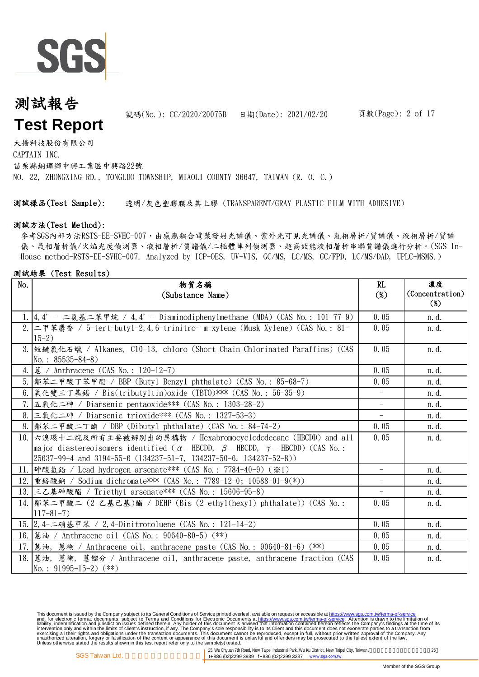

號碼(No.): CC/2020/20075B 日期(Date): 2021/02/20

大揚科技股份有限公司 CAPTAIN INC. 苗栗縣銅鑼鄉中興工業區中興路22號 NO. 22, ZHONGXING RD., TONGLUO TOWNSHIP, MIAOLI COUNTY 36647, TAIWAN (R. O. C.)

測試樣品(Test Sample): 透明/灰色塑膠膜及其上膠 (TRANSPARENT/GRAY PLASTIC FILM WITH ADHESIVE)

#### 測試方法(Test Method):

參考SGS內部方法RSTS-EE-SVHC-007,由感應耦合電漿發射光譜儀、紫外光可見光譜儀、氣相層析/質譜儀、液相層析/質譜 儀、氣相層析儀/火焰光度偵測器、液相層析/質譜儀/二極體陣列偵測器、超高效能液相層析串聯質譜儀進行分析。(SGS In-House method-RSTS-EE-SVHC-007. Analyzed by ICP-OES, UV-VIS, GC/MS, LC/MS, GC/FPD, LC/MS/DAD, UPLC-MSMS.)

#### 測試結果 (Test Results)

| No. | 物質名稱                                                                                                                    | RL                       | 濃度              |
|-----|-------------------------------------------------------------------------------------------------------------------------|--------------------------|-----------------|
|     | (Substance Name)                                                                                                        | $(\%)$                   | (Concentration) |
|     |                                                                                                                         |                          | $(\%)$          |
|     | 1. 4, 4' - 二氨基二苯甲烷 / 4, 4' - Diaminodiphenylmethane (MDA) (CAS No.: 101-77-9)                                           | 0.05                     | n. d.           |
|     | 2. 二甲苯麝香 / 5-tert-buty1-2, 4, 6-trinitro- m-xylene (Musk Xylene) (CAS No.: 81-<br>$15-2)$                               | 0.05                     | n.d.            |
|     | 3. 短鏈氯化石蠟 / Alkanes, C10-13, chloro (Short Chain Chlorinated Paraffins) (CAS<br>No.: $85535 - 84 - 8$ )                 | 0.05                     | n. d.           |
|     | 4.   蔥 / Anthracene (CAS No.: 120-12-7)                                                                                 | 0.05                     | n. d.           |
|     | 5.  鄰苯二甲酸丁苯甲酯 / BBP (Butyl Benzyl phthalate) (CAS No.: 85-68-7)                                                         | 0.05                     | n. d.           |
|     | 6. 氧化雙三丁基錫 / Bis(tributyltin)oxide (TBTO)*** (CAS No.: 56-35-9)                                                         |                          | n. d.           |
|     | 7. 五氧化二砷 / Diarsenic pentaoxide*** (CAS No.: 1303-28-2)                                                                 |                          | n. d.           |
|     | 8. 三氧化二砷 / Diarsenic trioxide*** (CAS No.: 1327-53-3)                                                                   | $\overline{\phantom{0}}$ | n. d.           |
|     | 9.  鄰苯二甲酸二丁酯 / DBP (Dibutyl phthalate) (CAS No.: 84-74-2)                                                               | 0.05                     | n. d.           |
|     | 10. 六溴環十二烷及所有主要被辨別出的異構物 / Hexabromocyclododecane (HBCDD) and all                                                        | 0.05                     | n.d.            |
|     | major diastereoisomers identified ( $\alpha$ - HBCDD, $\beta$ - HBCDD, $\gamma$ - HBCDD) (CAS No.:                      |                          |                 |
|     | $\left(25637 - 99 - 4 \text{ and } 3194 - 55 - 6 \left(134237 - 51 - 7, 134237 - 50 - 6, 134237 - 52 - 8\right)\right)$ |                          |                 |
|     | 11. 神酸氫鉛 / Lead hydrogen arsenate *** (CAS No.: 7784-40-9) (※1)                                                         | $\overline{\phantom{a}}$ | n. d.           |
|     | 12. 重鉻酸鈉 / Sodium dichromate*** (CAS No.: 7789-12-0; 10588-01-9(*))                                                     | $\overline{\phantom{0}}$ | n.d.            |
|     | 13. 三乙基砷酸酯 / Triethyl arsenate*** (CAS No.: 15606-95-8)                                                                 |                          | n. d.           |
|     | 14.  鄰苯二甲酸二 (2-乙基己基)酯 / DEHP (Bis (2-ethyl(hexyl) phthalate)) (CAS No.:                                                 | 0.05                     | n. d.           |
|     | $117 - 81 - 7$                                                                                                          |                          |                 |
|     | 15. 2, 4-二硝基甲苯 / 2, 4-Dinitrotoluene (CAS No.: 121-14-2)                                                                | 0.05                     | n. d.           |
|     | 16. 感油 / Anthracene oil (CAS No.: 90640-80-5) (**)                                                                      | 0.05                     | n. d.           |
|     | 17. 感油, 蔥糊 / Anthracene oil, anthracene paste (CAS No.: 90640-81-6) (**)                                                | 0.05                     | n. d.           |
|     | 18. 蔥油, 蔥糊, 蔥餾分 / Anthracene oil, anthracene paste, anthracene fraction (CAS                                            | 0.05                     | n. d.           |
|     | No.: $91995-15-2$ (**)                                                                                                  |                          |                 |

This document is issued by the Company subject to its General Conditions of Service printed overleaf, available on request or accessible at https://www.sgs.com.tw/terms-of-service<br>and, for electronic format documents, subj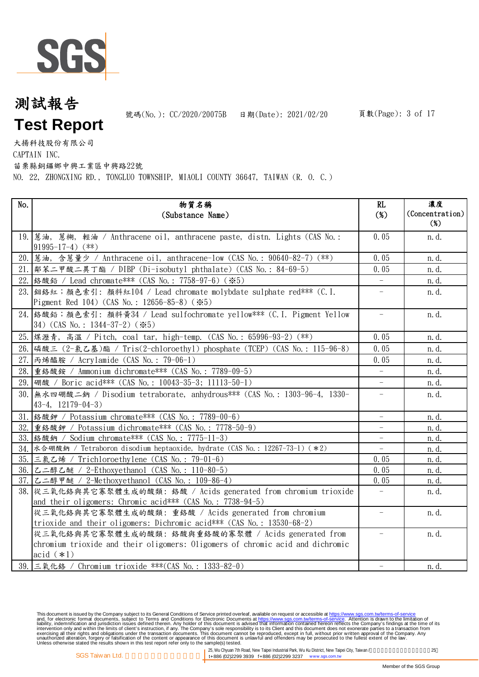

號碼(No.): CC/2020/20075B 日期(Date): 2021/02/20

大揚科技股份有限公司

CAPTAIN INC.

苗栗縣銅鑼鄉中興工業區中興路22號

NO. 22, ZHONGXING RD., TONGLUO TOWNSHIP, MIAOLI COUNTY 36647, TAIWAN (R. O. C.)

| No. | 物質名稱<br>(Substance Name)                                                                                                          | RL<br>$(\%)$             | 濃度<br>(Concentration) |
|-----|-----------------------------------------------------------------------------------------------------------------------------------|--------------------------|-----------------------|
|     | 19. 感油, 蔥糊, 輕油 / Anthracene oil, anthracene paste, distn. Lights (CAS No.:                                                        | 0.05                     | $(\%)$<br>n.d.        |
|     | $91995-17-4)$ (**)                                                                                                                |                          |                       |
|     | 20. 萬油,含蔥量少 / Anthracene oil, anthracene-low (CAS No.: 90640-82-7) (**)                                                           | 0.05                     | n.d.                  |
|     | 21.  鄰苯二甲酸二異丁酯 / DIBP (Di-isobutyl phthalate) (CAS No.: 84-69-5)                                                                  | 0.05                     | n.d.                  |
| 22. | 络酸鉛 / Lead chromate *** (CAS No.: 7758-97-6) (※5)                                                                                 | $\equiv$                 | n. d.                 |
|     | 23. 细络紅;顏色索引: 顏料紅104 / Lead chromate molybdate sulphate red*** (C. I.<br>Pigment Red 104) (CAS No.: 12656-85-8) (*5)              |                          | n.d.                  |
|     | 24. 络酸鉛;顏色索引: 顏料黃34 / Lead sulfochromate yellow*** (C.I. Pigment Yellow<br>34) (CAS No.: 1344-37-2) (*5)                          | $\equiv$                 | n.d.                  |
|     | 25. 煤瀝青, 高溫 / Pitch, coal tar, high-temp. (CAS No.: 65996-93-2) (**)                                                              | 0.05                     | n.d.                  |
|     | 26. 磷酸三 (2-氯乙基)酯 / Tris(2-chloroethyl) phosphate (TCEP) (CAS No.: 115-96-8)                                                       | 0.05                     | n. d.                 |
| 27. | 丙烯醯胺 / Acrylamide (CAS No.: 79-06-1)                                                                                              | 0.05                     | n.d.                  |
| 28. | 重鉻酸銨 / Ammonium dichromate *** (CAS No.: 7789-09-5)                                                                               |                          | n.d.                  |
|     | 29. 硼酸 / Boric acid*** (CAS No.: 10043-35-3; 11113-50-1)                                                                          |                          | n.d.                  |
| 30. | 無水四硼酸二鈉 / Disodium tetraborate, anhydrous*** (CAS No.: 1303-96-4, 1330-<br>$43-4, 12179-04-3)$                                    | $\qquad \qquad -$        | n.d.                  |
| 31. | 络酸鉀 / Potassium chromate *** (CAS No.: 7789-00-6)                                                                                 |                          | n.d.                  |
| 32. | 重鉻酸鉀 / Potassium dichromate*** (CAS No.: 7778-50-9)                                                                               |                          | n. d.                 |
|     | 33. 络酸鈉 / Sodium chromate*** (CAS No.: 7775-11-3)                                                                                 |                          | n.d.                  |
|     | 34. 水合硼酸鈉 / Tetraboron disodium heptaoxide, hydrate (CAS No.: 12267-73-1) (*2)                                                    | $\equiv$                 | n. d.                 |
|     | 35. 三氯乙烯 / Trichloroethylene (CAS No.: 79-01-6)                                                                                   | 0.05                     | n. d.                 |
|     | 36. 乙二醇乙醚 / 2-Ethoxyethanol (CAS No.: 110-80-5)                                                                                   | 0.05                     | n.d.                  |
| 37. | 乙二醇甲醚 / 2-Methoxyethanol (CAS No.: 109-86-4)                                                                                      | 0.05                     | n.d.                  |
| 38. | 從三氧化鉻與其它寡聚體生成的酸類: 鉻酸 / Acids generated from chromium trioxide                                                                     | $\qquad \qquad -$        | n. d.                 |
|     | and their oligomers: Chromic acid*** (CAS No.: 7738-94-5)                                                                         |                          |                       |
|     | 從三氧化鉻與其它寡聚體生成的酸類: 重鉻酸 / Acids generated from chromium<br>trioxide and their oligomers: Dichromic acid*** $(CAS No. : 13530-68-2)$ |                          | n.d.                  |
|     | 從三氧化鉻與其它寡聚體生成的酸類:鉻酸與重鉻酸的寡聚體 / Acids generated from                                                                                |                          | n.d.                  |
|     | chromium trioxide and their oligomers: Oligomers of chromic acid and dichromic                                                    |                          |                       |
|     | acid $(*1)$                                                                                                                       |                          |                       |
|     | 39. 三氧化鉻 / Chromium trioxide ***(CAS No.: 1333-82-0)                                                                              | $\overline{\phantom{0}}$ | n. d.                 |

This document is issued by the Company subject to its General Conditions of Service printed overleaf, available on request or accessible at https://www.sgs.com.tw/terms-of-service<br>and, for electronic format documents, subj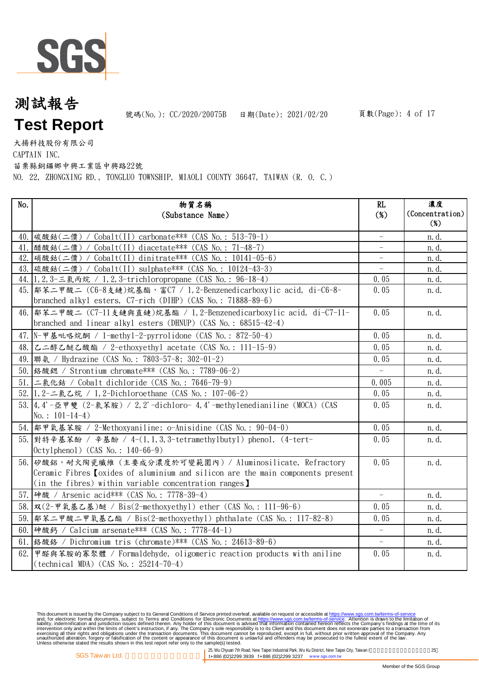

號碼(No.): CC/2020/20075B 日期(Date): 2021/02/20

大揚科技股份有限公司

CAPTAIN INC.

苗栗縣銅鑼鄉中興工業區中興路22號

NO. 22, ZHONGXING RD., TONGLUO TOWNSHIP, MIAOLI COUNTY 36647, TAIWAN (R. O. C.)

| No.  | 物質名稱<br>(Substance Name)                                                                                                                                                                                     | RL<br>$(\%)$                                         | 濃度<br>(Concentration)<br>$(\%)$ |
|------|--------------------------------------------------------------------------------------------------------------------------------------------------------------------------------------------------------------|------------------------------------------------------|---------------------------------|
|      |                                                                                                                                                                                                              |                                                      |                                 |
|      | 40. 碳酸鈷(二價) / Cobalt(II) carbonate*** (CAS No.: 513-79-1)                                                                                                                                                    |                                                      | n.d.                            |
|      | 41. 醋酸鈷(二價) / Cobalt(II) diacetate *** (CAS No.: 71-48-7)                                                                                                                                                    |                                                      | <u>n</u> .d.                    |
|      | 42. [硝酸鈷(二價) / Cobalt(II) dinitrate*** (CAS No.: 10141-05-6)                                                                                                                                                 | $\overline{\phantom{a}}$<br>$\overline{\phantom{0}}$ | n.d.                            |
|      | 43. 硫酸鈷(二價) / Cobalt(II) sulphate*** (CAS No.: 10124-43-3)<br>44. 1, 2, 3-三氯丙烷 / 1, 2, 3-trichloropropane (CAS No.: 96-18-4)                                                                                 | 0.05                                                 | n. d.<br>n. d.                  |
|      | 45. 鄰苯二甲酸二 (C6-8支鏈)烷基酯,富C7 / 1, 2-Benzenedicarboxylic acid, di-C6-8-<br>branched alkyl esters, C7-rich (DIHP) (CAS No.: 71888-89-6)                                                                          | 0.05                                                 | n. d.                           |
|      | 46.  鄰苯二甲酸二 (C7-11支鏈與直鏈)烷基酯 / 1, 2-Benzenedicarboxylic acid, di-C7-11-<br>branched and linear alkyl esters (DHNUP) (CAS No.: $68515-42-4$ )                                                                  | 0.05                                                 | n.d.                            |
|      | 47. N-甲基吡咯烷酮 / 1-methy1-2-pyrrolidone (CAS No.: 872-50-4)                                                                                                                                                    | 0.05                                                 | n.d.                            |
|      | 48. 乙二醇乙醚乙酸酯 / 2-ethoxyethyl acetate (CAS No.: 111-15-9)                                                                                                                                                     | 0.05                                                 | n.d.                            |
|      | 49.  聯氨 / Hydrazine (CAS No.: 7803-57-8; 302-01-2)                                                                                                                                                           | 0.05                                                 | n.d.                            |
|      | 50. 络酸鍶 / Strontium chromate*** (CAS No.: 7789-06-2)                                                                                                                                                         | $\equiv$                                             | n.d.                            |
|      | 51. 二氯化鈷 / Cobalt dichloride (CAS No.: 7646-79-9)                                                                                                                                                            | 0.005                                                | n.d.                            |
|      | 52. 1, 2-二氯乙烷 / 1, 2-Dichloroethane (CAS No.: 107-06-2)                                                                                                                                                      | 0.05                                                 | n.d.                            |
|      | 53. 4, 4'-亞甲雙 (2-氣苯胺) / 2, 2'-dichloro-4, 4'-methylenedianiline (MOCA) (CAS<br>No.: $101-14-4$ )                                                                                                             | 0.05                                                 | n.d.                            |
|      | 54.  鄰甲氧基苯胺 / 2-Methoxyaniline; o-Anisidine (CAS No.: 90-04-0)                                                                                                                                               | 0.05                                                 | n. d.                           |
|      | 55. 對特辛基苯酚 / 辛基酚 / 4-(1,1,3,3-tetramethylbutyl) phenol, (4-tert-<br>$Octy1phenol)$ (CAS No.: 140-66-9)                                                                                                       | 0.05                                                 | n. d.                           |
|      | 56. 矽酸鋁,耐火陶瓷纖維(主要成分濃度於可變範圍內)/ Aluminosilicate, Refractory<br>Ceramic Fibres <i>(oxides of aluminium and silicon are the main components present</i><br>(in the fibres) within variable concentration ranges) | 0.05                                                 | n.d.                            |
|      | 57. 神酸 / Arsenic acid*** (CAS No.: 7778-39-4)                                                                                                                                                                | $\equiv$                                             | n. d.                           |
|      | 58. 双(2-甲氧基乙基)醚 / Bis(2-methoxyethyl) ether (CAS No.: 111-96-6)                                                                                                                                              | 0.05                                                 | n.d.                            |
| 59.1 | 鄰苯二甲酸二甲氧基乙酯 / Bis(2-methoxyethyl) phthalate (CAS No.: 117-82-8)                                                                                                                                              | 0.05                                                 | n.d.                            |
|      | 60. 神酸鈣 / Calcium arsenate*** (CAS No.: 7778-44-1)                                                                                                                                                           | $\overline{\phantom{a}}$                             | n. d.                           |
|      | 61. 铬酸鉻 / Dichromium tris (chromate)*** (CAS No.: 24613-89-6)                                                                                                                                                | $\equiv$                                             | n.d.                            |
| 62.  | 甲醛與苯胺的寡聚體 / Formaldehyde, oligomeric reaction products with aniline<br>$(technical MDA) (CAS No. : 25214-70-4)$                                                                                              | 0.05                                                 | n.d.                            |

This document is issued by the Company subject to its General Conditions of Service printed overleaf, available on request or accessible at https://www.sgs.com.tw/terms-of-service<br>and, for electronic format documents, subj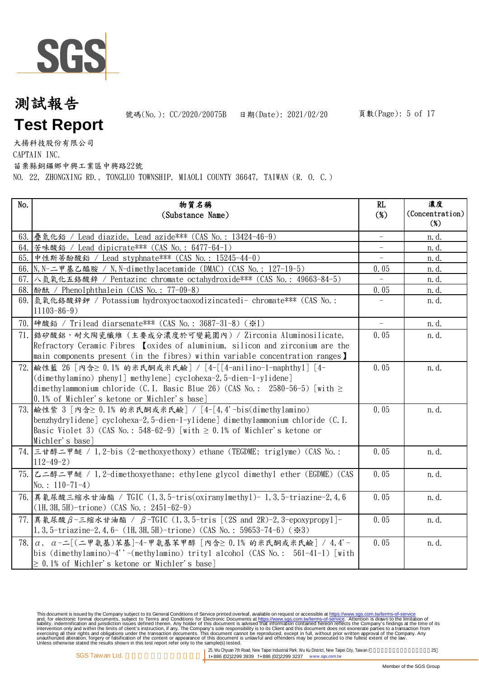

號碼(No.): CC/2020/20075B 日期(Date): 2021/02/20

大揚科技股份有限公司

CAPTAIN INC.

苗栗縣銅鑼鄉中興工業區中興路22號

NO. 22, ZHONGXING RD., TONGLUO TOWNSHIP, MIAOLI COUNTY 36647, TAIWAN (R. O. C.)

| No. | 物質名稱                                                                                          | RL     | 濃度              |
|-----|-----------------------------------------------------------------------------------------------|--------|-----------------|
|     | (Substance Name)                                                                              | $(\%)$ | (Concentration) |
|     |                                                                                               |        | $(\%)$          |
|     | 63. 疊氮化鉛 / Lead diazide, Lead azide*** (CAS No.: 13424-46-9)                                  |        | n. d.           |
|     | 64. 苦味酸鉛 / Lead dipicrate*** (CAS No.: 6477-64-1)                                             |        | n.d.            |
| 65. | 中性斯蒂酚酸鉛 / Lead styphnate *** (CAS No.: 15245-44-0)                                            |        | n. d.           |
|     | 66. N, N-二甲基乙醯胺 / N, N-dimethylacetamide (DMAC) (CAS No.: 127-19-5)                           | 0.05   | n. d.           |
|     | 67. 入氫氧化五鉻酸鋅 / Pentazinc chromate octahydroxide*** (CAS No.: 49663-84-5)                      |        | n. d.           |
|     | 68. 酚酞 / Phenolphthalein (CAS No.: 77-09-8)                                                   | 0.05   | n. d.           |
|     | 69. [氫氧化鉻酸鋅鉀 / Potassium hydroxyoctaoxodizincatedi- chromate*** (CAS No.:<br>$11103 - 86 - 9$ |        | n.d.            |
|     | 70. 神酸鉛 / Trilead diarsenate*** (CAS No.: 3687-31-8) (※1)                                     |        | n. d.           |
|     | 71. 结矽酸鋁, 耐火陶瓷纖維 (主要成分濃度於可變範圍內) / Zirconia Aluminosilicate,                                   | 0.05   | n. d.           |
|     | Refractory Ceramic Fibres [oxides of aluminium, silicon and zirconium are the                 |        |                 |
|     | main components present (in the fibres) within variable concentration ranges)                 |        |                 |
| 72. | 鹼性藍 26 [內含≥ 0.1% 的米氏酮或米氏鹼] / [4-[[4-anilino-1-naphthyl] [4-                                   | 0.05   | n. d.           |
|     | (dimethylamino) phenyl] methylene] cyclohexa-2,5-dien-1-ylidene]                              |        |                 |
|     | dimethylammonium chloride (C.I. Basic Blue 26) (CAS No.: 2580-56-5) [with $\ge$               |        |                 |
|     | 0.1% of Michler's ketone or Michler's base]                                                   |        |                 |
|     | 73. 鹼性紫 3 [內含≥ 0.1% 的米氏酮或米氏鹼] / [4-[4,4'-bis(dimethylamino)                                   | 0.05   | n.d.            |
|     | [benzhydrylidene] cyclohexa-2,5-dien-1-ylidene] dimethylammonium chloride (C.I.               |        |                 |
|     | Basic Violet 3) (CAS No.: 548-62-9) [with $\geq$ 0.1% of Michler's ketone or                  |        |                 |
|     | Michler's base]                                                                               |        |                 |
|     | 74. 三甘醇二甲醚 / 1,2-bis (2-methoxyethoxy) ethane (TEGDME; triglyme) (CAS No.:                    | 0.05   | n. d.           |
|     | $112 - 49 - 2$ )                                                                              |        |                 |
|     | 75. 乙二醇二甲醚 / 1,2-dimethoxyethane; ethylene glycol dimethyl ether (EGDME) (CAS                 | 0.05   | n.d.            |
|     | No.: $110-71-4$ )                                                                             |        |                 |
|     | 76. 異氰尿酸三縮水甘油酯 / TGIC (1,3,5-tris(oxiranylmethyl)-1,3,5-triazine-2,4,6                        | 0.05   | n.d.            |
|     | $(1H, 3H, 5H)$ -trione) (CAS No.: 2451-62-9)                                                  |        |                 |
|     | 77. 異氰尿酸β-三縮水甘油酯 / β-TGIC (1,3,5-tris [(2S and 2R)-2,3-epoxypropy1]-                          | 0.05   | n.d.            |
|     | 1, 3, 5-triazine-2, 4, 6- (1H, 3H, 5H)-trione) (CAS No.: 59653-74-6) ( $\divideontimes$ 3)    |        |                 |
| 78. | a, a-二[(二甲氨基)苯基]-4-甲氨基苯甲醇 [內含≥ 0.1% 的米氏酮或米氏鹼] / 4,4'-                                         | 0.05   | n.d.            |
|     | bis (dimethylamino)-4''-(methylamino) trityl alcohol (CAS No.: $561-41-1$ ) [with             |        |                 |
|     | $\geq$ 0.1% of Michler's ketone or Michler's base]                                            |        |                 |
|     |                                                                                               |        |                 |

This document is issued by the Company subject to its General Conditions of Service printed overleaf, available on request or accessible at https://www.sgs.com.tw/terms-of-service<br>and, for electronic format documents, subj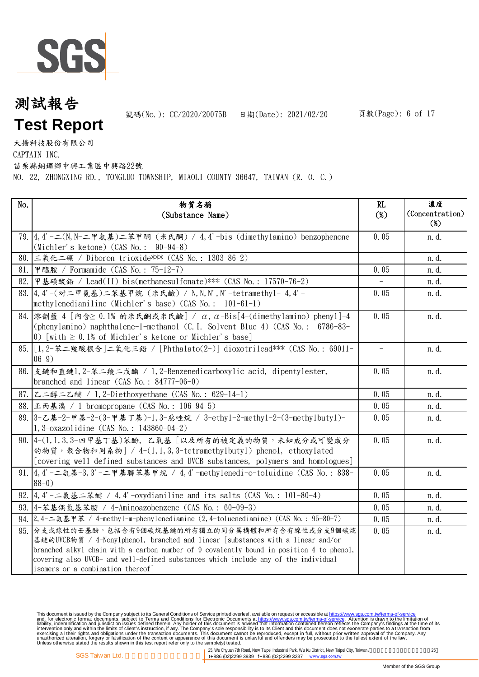

號碼(No.): CC/2020/20075B 日期(Date): 2021/02/20

大揚科技股份有限公司

CAPTAIN INC.

苗栗縣銅鑼鄉中興工業區中興路22號

NO. 22, ZHONGXING RD., TONGLUO TOWNSHIP, MIAOLI COUNTY 36647, TAIWAN (R. O. C.)

| No. | 物質名稱<br>(Substance Name)                                                                                                                                                                                                                                                                                                                                      | RL<br>$(\%)$ | 濃度<br>(Concentration)<br>$(\%)$ |
|-----|---------------------------------------------------------------------------------------------------------------------------------------------------------------------------------------------------------------------------------------------------------------------------------------------------------------------------------------------------------------|--------------|---------------------------------|
|     | 79. 4. 4' -   (N, N- ニ甲氨基) 二苯甲酮 (米氏酮) / 4. 4' -bis (dimethylamino) benzophenone<br>(Michler's ketone) $(CAS No. : 90-94-8)$                                                                                                                                                                                                                                   | 0.05         | n.d.                            |
|     | 80. 三氧化二硼 / Diboron trioxide*** (CAS No.: 1303-86-2)                                                                                                                                                                                                                                                                                                          |              | n. d.                           |
| 81. | 甲醯胺 / Formamide (CAS No.: 75-12-7)                                                                                                                                                                                                                                                                                                                            | 0.05         | n. d.                           |
| 82. | 甲基磺酸鉛 / Lead(II) bis(methanesulfonate)*** (CAS No.: 17570-76-2)                                                                                                                                                                                                                                                                                               |              | n. d.                           |
|     | 83. 4, 4'-(对二甲氨基)二苯基甲烷 (米氏鹼) / N, N, N', N'-tetramethyl-4, 4'-<br>methylenedianiline (Michler's base) $(CAS No. : 101-61-1)$                                                                                                                                                                                                                                  | 0.05         | n. d.                           |
|     | $84.$ 溶劑藍 4 「內含≥ 0.1% 的米氏酮或米氏鹼] / α, α-Bis[4-(dimethylamino) phenyl]-4<br>(phenylamino) naphthalene-1-methanol (C. I. Solvent Blue 4) (CAS No.: 6786-83-<br>0) [with $\geq$ 0.1% of Michler's ketone or Michler's base]                                                                                                                                       | 0.05         | n. d.                           |
|     | 85. [1, 2-苯二羧酸根合]二氧化三鉛 / [Phthalato(2-)] dioxotrilead*** (CAS No.: 69011-<br>$06-9)$                                                                                                                                                                                                                                                                          |              | n.d.                            |
|     | 86. 支鏈和直鏈1, 2-苯二羧二戊酯 / 1, 2-Benzenedicarboxylic acid, dipentylester,<br>branched and linear $(CAS No. : 84777-06-0)$                                                                                                                                                                                                                                          | 0.05         | n.d.                            |
|     | 87. 乙二醇二乙醚 / 1,2-Diethoxyethane (CAS No.: 629-14-1)                                                                                                                                                                                                                                                                                                           | 0.05         | n. d.                           |
|     | 88. 正丙基溴 / 1-bromopropane (CAS No.: 106-94-5)                                                                                                                                                                                                                                                                                                                 | 0.05         | n. d.                           |
|     | 89. 3-乙基-2-甲基-2-(3-甲基丁基)-1, 3-惡唑烷 / 3-ethy1-2-methy1-2-(3-methy1buty1)-<br>1,3-oxazolidine (CAS No.: 143860-04-2)                                                                                                                                                                                                                                             | 0.05         | n. d.                           |
|     | 90. 4-(1,1,3,3-四甲基丁基)苯酚, 乙氧基「以及所有的被定義的物質,未知成分或可變成分<br>的物質,聚合物和同系物] / $4-(1, 1, 3, 3$ -tetramethylbutyl) phenol, ethoxylated<br>[covering well-defined substances and UVCB substances, polymers and homologues]                                                                                                                                                | 0.05         | n.d.                            |
|     | 91. 4, 4'-二氨基-3, 3'-二甲基聯苯基甲烷 / 4, 4'-methylenedi-o-toluidine (CAS No.: 838-<br>$88-0)$                                                                                                                                                                                                                                                                        | 0.05         | n. d.                           |
|     | 92. 4, 4'-二氨基二苯醚 / 4, 4'-oxydianiline and its salts (CAS No.: 101-80-4)                                                                                                                                                                                                                                                                                       | 0.05         | n. d.                           |
|     | 93. 4-苯基偶氮基苯胺 / 4-Aminoazobenzene (CAS No.: 60-09-3)                                                                                                                                                                                                                                                                                                          | 0.05         | n. d.                           |
|     | 94. 2.4-二氨基甲苯 / 4-methyl-m-phenylenediamine (2.4-toluenediamine) (CAS No.: 95-80-7)                                                                                                                                                                                                                                                                           | 0.05         | n. d.                           |
|     | 95. 分支或線性的壬基酚, 包括含有9個碳烷基鏈的所有獨立的同分異構體和所有含有線性或分支9個碳烷<br>基鏈的UVCB物質 / 4-Nonylphenol, branched and linear [substances with a linear and/or<br>branched alkyl chain with a carbon number of 9 covalently bound in position 4 to phenol,<br>covering also UVCB- and well-defined substances which include any of the individual<br>isomers or a combination thereof] | 0.05         | n.d.                            |

This document is issued by the Company subject to its General Conditions of Service printed overleaf, available on request or accessible at https://www.sgs.com.tw/terms-of-service<br>and, for electronic format documents, subj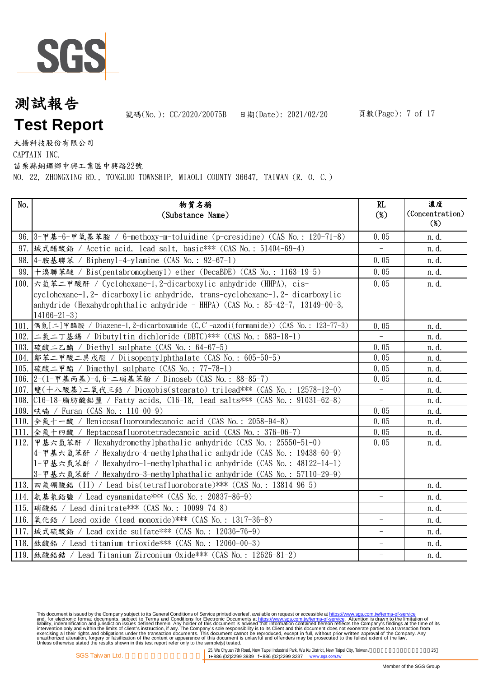

號碼(No.): CC/2020/20075B 日期(Date): 2021/02/20

大揚科技股份有限公司

CAPTAIN INC.

苗栗縣銅鑼鄉中興工業區中興路22號

NO. 22, ZHONGXING RD., TONGLUO TOWNSHIP, MIAOLI COUNTY 36647, TAIWAN (R. O. C.)

| No.  | 物質名稱<br>(Substance Name)                                                                | RL<br>$(\%)$             | 濃度<br>(Concentration)<br>$(\%)$ |
|------|-----------------------------------------------------------------------------------------|--------------------------|---------------------------------|
|      | 96. 3-甲基-6-甲氧基苯胺 / 6-methoxy-m-toluidine (p-cresidine) (CAS No.: 120-71-8)              | 0.05                     | n. d.                           |
|      | 97. 城式醋酸鉛 / Acetic acid, lead salt, basic *** (CAS No.: 51404-69-4)                     | $\equiv$                 | n.d.                            |
|      | 98. 4-胺基聯苯 / Bipheny1-4-ylamine (CAS No.: 92-67-1)                                      | 0.05                     | n.d.                            |
|      | 99. 十溴聯苯醚 / Bis(pentabromophenyl) ether (DecaBDE) (CAS No.: 1163-19-5)                  | 0.05                     | n. d.                           |
|      | 100. 六氫苯二甲酸酐 / Cyclohexane-1, 2-dicarboxylic anhydride (HHPA), cis-                     | 0.05                     | n.d.                            |
|      | cyclohexane-1, 2- dicarboxylic anhydride, trans-cyclohexane-1, 2- dicarboxylic          |                          |                                 |
|      | anhydride (Hexahydrophthalic anhydride - HHPA) (CAS No.: $85-42-7$ , 13149-00-3,        |                          |                                 |
|      | $14166 - 21 - 3$                                                                        |                          |                                 |
|      | 101. 偶氮[二]甲醯胺 / Diazene-1, 2-dicarboxamide (C, C'-azodi(formamide)) (CAS No.: 123-77-3) | 0.05                     | n.d.                            |
|      | 102. 二氯二丁基錫 / Dibutyltin dichloride (DBTC)*** (CAS No.: 683-18-1)                       | $\equiv$                 | n. d.                           |
|      | 103. 硫酸二乙酯 / Diethyl sulphate (CAS No.: 64-67-5)                                        | 0.05                     | n. d.                           |
| 104. | 鄰苯二甲酸二異戊酯 / Diisopentylphthalate (CAS No.: 605-50-5)                                    | 0.05                     | n. d.                           |
|      | 105. 硫酸二甲酯 / Dimethyl sulphate (CAS No.: 77-78-1)                                       | 0.05                     | n. d.                           |
|      | 106. 2-(1-甲基丙基)-4, 6-二硝基苯酚 / Dinoseb (CAS No.: 88-85-7)                                 | 0.05                     | n. d.                           |
|      | 107. 雙(十八酸基)二氧代三鉛 / Dioxobis(stearato) trilead*** (CAS No.: 12578-12-0)                 | $\overline{\phantom{a}}$ | n. d.                           |
|      | 108. C16-18-脂肪酸鉛鹽 / Fatty acids, C16-18, lead salts*** (CAS No.: 91031-62-8)            | $\overline{\phantom{0}}$ | n. d.                           |
|      | 109. 呋喃 / Furan (CAS No.: 110-00-9)                                                     | 0.05                     | n. d.                           |
|      | 110. 全氟十一酸 / Henicosafluoroundecanoic acid (CAS No.: 2058-94-8)                         | 0.05                     | n. d.                           |
|      | 111. 全氟十四酸 / Heptacosafluorotetradecanoic acid (CAS No.: 376-06-7)                      | 0.05                     | n.d.                            |
|      | 112. 甲基六氫苯酐 / Hexahydromethylphathalic anhydride (CAS No.: 25550-51-0)                  | 0.05                     | n. d.                           |
|      | 4-甲基六氫苯酐 / Hexahydro-4-methylphathalic anhydride (CAS No.: 19438-60-9)                  |                          |                                 |
|      | 1-甲基六氫苯酐 / Hexahydro-1-methylphathalic anhydride (CAS No.: 48122-14-1)                  |                          |                                 |
|      | 3-甲基六氫苯酐 / Hexahydro-3-methylphathalic anhydride (CAS No.: 57110-29-9)                  |                          |                                 |
|      | 113. 四氟硼酸鉛 (II) / Lead bis(tetrafluoroborate)*** (CAS No.: 13814-96-5)                  | $\overline{\phantom{0}}$ | n. d.                           |
|      | 114.   氨基氰鉛鹽 / Lead cyanamidate *** (CAS No.: 20837-86-9)                               |                          | n. d.                           |
|      | 115. [硝酸鉛 / Lead dinitrate *** (CAS No.: 10099-74-8)                                    | $\qquad \qquad -$        | n.d.                            |
|      | 116. [氧化鉛 / Lead oxide (lead monoxide) *** (CAS No.: 1317-36-8)                         |                          | n. d.                           |
|      | 117.  城式硫酸鉛 / Lead oxide sulfate*** (CAS No.: 12036-76-9)                               | $\overline{\phantom{0}}$ | n. d.                           |
|      | 118.  鈦酸鉛 / Lead titanium trioxide*** (CAS No.: 12060-00-3)                             | $\overline{\phantom{0}}$ | n.d.                            |
|      | 119.  鈦酸鉛鋯 / Lead Titanium Zirconium Oxide*** (CAS No.: 12626-81-2)                     | $\qquad \qquad -$        | n. d.                           |

This document is issued by the Company subject to its General Conditions of Service printed overleaf, available on request or accessible at https://www.sgs.com.tw/terms-of-service<br>and, for electronic format documents, subj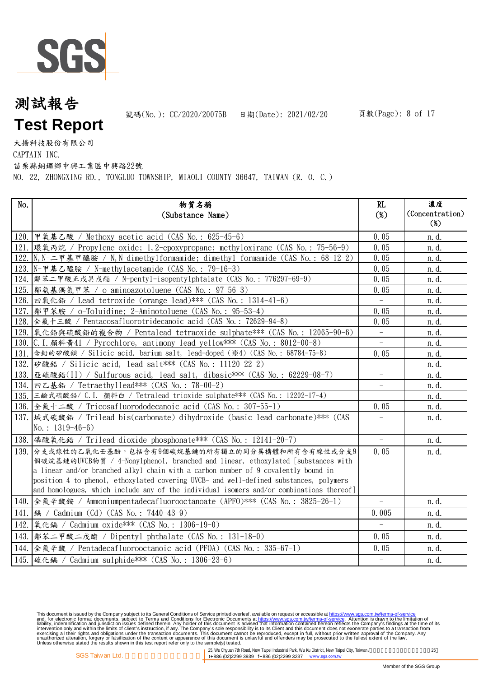

號碼(No.): CC/2020/20075B 日期(Date): 2021/02/20

大揚科技股份有限公司

CAPTAIN INC.

苗栗縣銅鑼鄉中興工業區中興路22號

NO. 22, ZHONGXING RD., TONGLUO TOWNSHIP, MIAOLI COUNTY 36647, TAIWAN (R. O. C.)

| No.  | 物質名稱<br>(Substance Name)                                                                 | RL<br>$(\%)$             | 濃度<br>(Concentration) |
|------|------------------------------------------------------------------------------------------|--------------------------|-----------------------|
|      |                                                                                          |                          | $(\%)$                |
|      | 120. 甲氧基乙酸 / Methoxy acetic acid (CAS No.: 625-45-6)                                     | 0.05                     | n.d.                  |
|      |                                                                                          | 0.05                     | n. d.                 |
|      | 122. N, N-二甲基甲醯胺 / N, N-dimethylformamide; dimethyl formamide (CAS No.: 68-12-2)         | 0.05                     | n. d.                 |
|      | 123. N-甲基乙醯胺 / N-methylacetamide (CAS No.: 79-16-3)                                      | 0.05                     | n. d.                 |
|      | 124.  鄰苯二甲酸正戊異戊酯 / N-pentyl-isopentylphtalate (CAS No.: 776297-69-9)                     | 0.05                     | n. d.                 |
| 125. | 鄰氨基偶氮甲苯 / o-aminoazotoluene (CAS No.: 97-56-3)                                           | 0.05                     | n. d.                 |
|      | 126. 四氧化鉛 / Lead tetroxide (orange lead) *** (CAS No.: 1314-41-6)                        |                          | n. d.                 |
|      | 127.  鄰甲苯胺 / o-Toluidine; 2-Aminotoluene (CAS No.: 95-53-4)                              | 0.05                     | n. d.                 |
|      | 128. 全氟十三酸 / Pentacosafluorotridecanoic acid (CAS No.: 72629-94-8)                       | 0.05                     | n. d.                 |
|      | 129. 氧化鉛與硫酸鉛的複合物 / Pentalead tetraoxide sulphate*** (CAS No.: 12065-90-6)                | $\overline{\phantom{a}}$ | n. d.                 |
|      | 130. C. I. 顏料黃41 / Pyrochlore, antimony lead yellow*** (CAS No.: 8012-00-8)              | $\overline{\phantom{0}}$ | n. d.                 |
|      | 131. 含鉛的矽酸鋇 / Silicic acid, barium salt, lead-doped (※4) (CAS No.: 68784-75-8)           | 0.05                     | n. d.                 |
|      | 132. 矽酸鉛 / Silicic acid, lead salt*** (CAS No.: 11120-22-2)                              |                          | n. d.                 |
|      | 133. 臣硫酸鉛(II) / Sulfurous acid, lead salt, dibasic*** (CAS No.: 62229-08-7)              |                          | n. d.                 |
| 134. | 四乙基鉛 / Tetraethyllead*** (CAS No.: 78-00-2)                                              |                          | n. d.                 |
|      | 135. 三鹼式硫酸鉛/ C.I. 顏料白 / Tetralead trioxide sulphate*** (CAS No.: 12202-17-4)             |                          | n. d.                 |
|      | 136. 全氟十二酸 / Tricosafluorododecanoic acid (CAS No.: 307-55-1)                            | 0.05                     | n. d.                 |
|      | 137. 城式碳酸鉛 / Trilead bis(carbonate) dihydroxide (basic lead carbonate)*** (CAS           |                          | n.d.                  |
|      | No.: $1319-46-6$ )                                                                       |                          |                       |
|      | 138. 磷酸氧化鉛 / Trilead dioxide phosphonate*** (CAS No.: 12141-20-7)                        | $\overline{\phantom{a}}$ | n. d.                 |
|      | 139. 分支或線性的乙氧化壬基酚,包括含有9個碳烷基鏈的所有獨立的同分異構體和所有含有線性或分支9                                       | 0.05                     | n.d.                  |
|      | 個碳烷基鏈的UVCB物質 / 4-Nonylphenol, branched and linear, ethoxylated [substances with          |                          |                       |
|      | a linear and/or branched alkyl chain with a carbon number of 9 covalently bound in       |                          |                       |
|      | position 4 to phenol, ethoxylated covering UVCB- and well-defined substances, polymers   |                          |                       |
|      | and homologues, which include any of the individual isomers and/or combinations thereof] |                          |                       |
|      | 140. 全氟辛酸銨 / Ammoniumpentadecafluorooctanoate (APFO) *** (CAS No.: 3825-26-1)            | $\equiv$                 | n. d.                 |
|      | 141. [ 编 / Cadmium (Cd) (CAS No.: 7440-43-9)                                             | 0.005                    | n.d.                  |
| 142. | 氧化鎘 / Cadmium oxide*** (CAS No.: 1306-19-0)                                              | $\overline{\phantom{0}}$ | n.d.                  |
|      | 143.  鄰苯二甲酸二戊酯 / Dipentyl phthalate (CAS No.: 131-18-0)                                  | 0.05                     | n.d.                  |
|      | 144. 全氟辛酸 / Pentadecafluorooctanoic acid (PFOA) (CAS No.: 335-67-1)                      | 0.05                     | n. d.                 |
|      | 145. 硫化鎘 / Cadmium sulphide *** (CAS No.: 1306-23-6)                                     | $\overline{\phantom{a}}$ | n. d.                 |

This document is issued by the Company subject to its General Conditions of Service printed overleaf, available on request or accessible at https://www.sgs.com.tw/terms-of-service<br>and, for electronic format documents, subj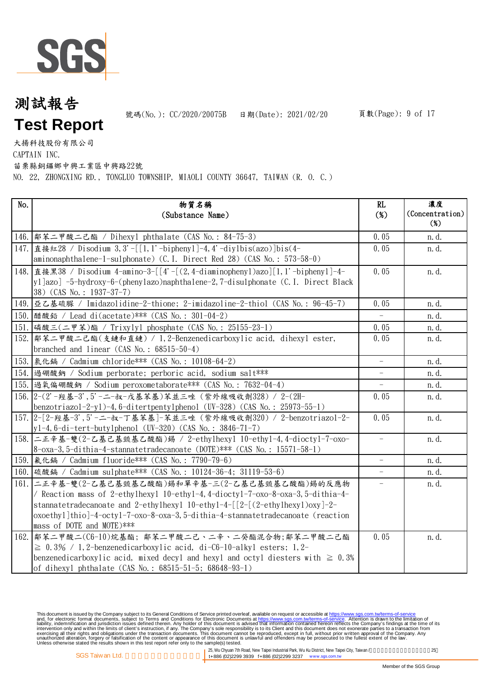

號碼(No.): CC/2020/20075B 日期(Date): 2021/02/20

大揚科技股份有限公司

CAPTAIN INC.

苗栗縣銅鑼鄉中興工業區中興路22號

NO. 22, ZHONGXING RD., TONGLUO TOWNSHIP, MIAOLI COUNTY 36647, TAIWAN (R. O. C.)

| No.  | 物質名稱                                                                                                                              | RL                       | 濃度                        |
|------|-----------------------------------------------------------------------------------------------------------------------------------|--------------------------|---------------------------|
|      | (Substance Name)                                                                                                                  | $(\%)$                   | (Concentration)<br>$(\%)$ |
|      | 146.  鄰苯二甲酸二己酯 / Dihexyl phthalate (CAS No.: 84-75-3)                                                                             | 0.05                     | n.d.                      |
| 147. | 直接紅28 / Disodium 3,3'-[[1,1'-biphenyl]-4,4'-diylbis(azo)]bis(4-                                                                   | 0.05                     | n.d.                      |
|      | aminonaphthalene-1-sulphonate) (C.I. Direct Red 28) (CAS No.: 573-58-0)                                                           |                          |                           |
|      | 148. 直接黑38 / Disodium 4-amino-3-[[4'-[(2, 4-diaminophenyl)azo][1, 1'-biphenyl]-4-                                                 | 0.05                     | n.d.                      |
|      | yl]azo] -5-hydroxy-6-(phenylazo)naphthalene-2,7-disulphonate (C.I. Direct Black                                                   |                          |                           |
|      | 38) (CAS No.: 1937-37-7)                                                                                                          |                          |                           |
|      | 149. 亜乙基硫脲 / Imidazolidine-2-thione; 2-imidazoline-2-thiol (CAS No.: 96-45-7)                                                     | 0.05                     | n.d.                      |
|      | 150. 醋酸鉛 / Lead di(acetate) *** (CAS No.: 301-04-2)                                                                               |                          | n.d.                      |
|      | 151. 磷酸三(二甲苯)酯 / Trixylyl phosphate (CAS No.: 25155-23-1)                                                                         | 0.05                     | n.d.                      |
| 152. | 鄰苯二甲酸二己酯(支鏈和直鏈) / 1,2-Benzenedicarboxylic acid, dihexyl ester,                                                                    | 0.05                     | n.d.                      |
|      | branched and linear $(CAS No. : 68515-50-4)$                                                                                      |                          |                           |
|      | 153.   氯化鎘 / Cadmium chloride *** (CAS No.: 10108-64-2)                                                                           | $\equiv$                 | n. d.                     |
|      | 154. 過硼酸鈉 / Sodium perborate; perboric acid, sodium salt***                                                                       |                          | n. d.                     |
|      | 155. 過氧偏硼酸鈉 / Sodium peroxometaborate*** (CAS No.: 7632-04-4)                                                                     | $\overline{\phantom{0}}$ | n. d.                     |
|      | 156. 2-(2'-羥基-3', 5'-二-叔-戊基苯基)苯並三唑 (紫外線吸收劑328) / 2-(2H-                                                                           | 0.05                     | n.d.                      |
|      | benzotriazol-2-yl)-4,6-ditertpentylphenol (UV-328) (CAS No.: 25973-55-1)                                                          |                          |                           |
|      | 157. 2-[2-羥基-3', 5'-二-叔-丁基苯基]-苯並三唑 (紫外線吸收劑320) / 2-benzotriazol-2-                                                                | 0.05                     | n. d.                     |
|      | $y1-4$ , 6-di-tert-butylphenol (UV-320) (CAS No.: 3846-71-7)                                                                      |                          |                           |
|      | 158. 二正辛基-雙(2-乙基己基巰基乙酸酯)錫 / 2-ethylhexyl 10-ethyl-4,4-dioctyl-7-oxo-                                                              |                          | n.d.                      |
|      | 8-oxa-3, 5-dithia-4-stannatetradecanoate (DOTE)*** (CAS No.: 15571-58-1)                                                          |                          |                           |
|      | 159. 氟化鎘 / Cadmium fluoride *** (CAS No.: 7790-79-6)                                                                              | $\overline{\phantom{a}}$ | n.d.                      |
|      | 160. 硫酸鎘 / Cadmium sulphate *** (CAS No.: 10124-36-4; 31119-53-6)                                                                 | $\equiv$                 | n. d.                     |
| 161. | 二正辛基-雙(2-乙基己基巰基乙酸酯)錫和單辛基-三(2-乙基己基巰基乙酸酯)錫的反應物                                                                                      |                          | n.d.                      |
|      | / Reaction mass of 2-ethylhexyl 10-ethyl-4, 4-dioctyl-7-oxo-8-oxa-3, 5-dithia-4-                                                  |                          |                           |
|      | stannatetradecanoate and 2-ethylhexyl $10$ -ethyl-4-[[2-[(2-ethylhexyl)oxy]-2-                                                    |                          |                           |
|      | oxoethyl]thio]-4-octyl-7-oxo-8-oxa-3,5-dithia-4-stannatetradecanoate (reaction<br>mass of DOTE and MOTE)***                       |                          |                           |
|      |                                                                                                                                   | 0.05                     |                           |
|      | 162.   鄰苯二甲酸二(C6-10)烷基酯; 鄰苯二甲酸二己、二辛、二癸酯混合物;鄰苯二甲酸二己酯<br>$\geq 0.3\%$ / 1, 2-benzenedicarboxylic acid, di-C6-10-alkyl esters; 1, 2- |                          | n.d.                      |
|      | benzenedicarboxylic acid, mixed decyl and hexyl and octyl diesters with $\geq 0.3\%$                                              |                          |                           |
|      | of dihexyl phthalate (CAS No.: 68515-51-5; 68648-93-1)                                                                            |                          |                           |

This document is issued by the Company subject to its General Conditions of Service printed overleaf, available on request or accessible at https://www.sgs.com.tw/terms-of-service<br>and, for electronic format documents, subj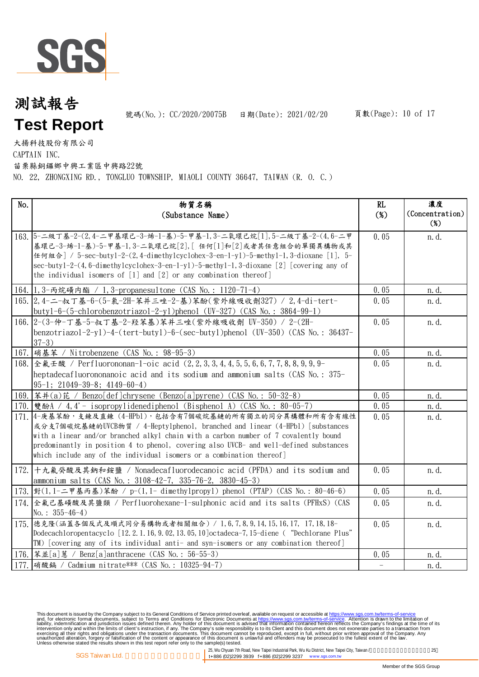

號碼(No.): CC/2020/20075B 日期(Date): 2021/02/20

大揚科技股份有限公司

CAPTAIN INC.

苗栗縣銅鑼鄉中興工業區中興路22號

NO. 22, ZHONGXING RD., TONGLUO TOWNSHIP, MIAOLI COUNTY 36647, TAIWAN (R. O. C.)

| No.  | 物質名稱<br>(Substance Name)                                                                                                                                                                                                                                                                                                                                                                          | RL<br>$(\%)$             | 濃度<br>(Concentration) |
|------|---------------------------------------------------------------------------------------------------------------------------------------------------------------------------------------------------------------------------------------------------------------------------------------------------------------------------------------------------------------------------------------------------|--------------------------|-----------------------|
|      | 163. 5-二級丁基-2-(2,4-二甲基環己-3-烯-1-基)-5-甲基-1,3-二氧環己烷[1],5-二級丁基-2-(4,6-二甲<br>基環己-3-烯-1-基)-5-甲基-1,3-二氧環己烷[2],[任何[1]和[2]或者其任意組合的單獨異構物或其<br>任何組合] / 5-sec-buty1-2-(2, 4-dimethylcyclohex-3-en-1-yl)-5-methy1-1, 3-dioxane [1], 5-<br>$sec$ -butyl-2-(4, 6-dimethylcyclohex-3-en-1-yl)-5-methyl-1, 3-dioxane [2] [covering any of<br>the individual isomers of $[1]$ and $[2]$ or any combination thereof] | 0.05                     | $(\%)$<br>n.d.        |
|      | 164. 1, 3-丙烷磺内酯 / 1, 3-propanesultone (CAS No.: 1120-71-4)                                                                                                                                                                                                                                                                                                                                        | 0.05                     | n. d.                 |
|      | 165. 2, 4-二-叔丁基-6-(5-氣-2H-苯并三唑-2-基)苯酚(紫外線吸收劑327) / 2, 4-di-tert-<br>butyl-6- $(5$ -chlorobenzotriazol-2-yl)phenol (UV-327) (CAS No.: 3864-99-1)                                                                                                                                                                                                                                                   | 0.05                     | n.d.                  |
|      | 166. 2-(3-仲-丁基-5-叔丁基-2-羟苯基)苯并三唑(紫外線吸收劑 UV-350) / 2-(2H-<br>benzotriazol-2-yl)-4-(tert-butyl)-6-(sec-butyl)phenol (UV-350) (CAS No.: 36437-<br>$37-3)$                                                                                                                                                                                                                                             | 0.05                     | n. d.                 |
|      | 167. [硝基苯 / Nitrobenzene (CAS No.: 98-95-3)                                                                                                                                                                                                                                                                                                                                                       | 0.05                     | n. d.                 |
|      | 168. 全氣壬酸 / Perfluorononan-1-oic acid (2, 2, 3, 3, 4, 4, 5, 5, 6, 6, 7, 7, 8, 8, 9, 9, 9-<br>heptadecafluorononanoic acid and its sodium and ammonium salts (CAS No.: 375-<br>$95-1$ ; 21049-39-8; 4149-60-4)                                                                                                                                                                                     | 0.05                     | n.d.                  |
|      | 169. [苯并(a)芘 / Benzo[def]chrysene (Benzo[a]pyrene) (CAS No.: 50-32-8)                                                                                                                                                                                                                                                                                                                             | 0.05                     | n.d.                  |
|      | 170. 雙酚A / 4, 4' - isopropylidenediphenol (Bisphenol A) (CAS No.: 80-05-7)                                                                                                                                                                                                                                                                                                                        | 0.05                     | n. d.                 |
|      | 171. 4-庚基苯酚,支鍊及直鍊 (4-HPb1),包括含有7個碳烷基鏈的所有獨立的同分異構體和所有含有線性<br>或分支7個碳烷基鏈的UVCB物質 / 4-Hepty1pheno1, branched and linear (4-HPb1) [substances<br>with a linear and/or branched alkyl chain with a carbon number of 7 covalently bound<br>predominantly in position 4 to phenol, covering also UVCB- and well-defined substances<br>which include any of the individual isomers or a combination thereof] | 0.05                     | n.d.                  |
| 172. | 十九氟癸酸及其鈉和銨鹽 / Nonadecafluorodecanoic acid (PFDA) and its sodium and<br>ammonium salts (CAS No.: 3108-42-7, 335-76-2, 3830-45-3)                                                                                                                                                                                                                                                                   | 0.05                     | n.d.                  |
|      | 173. 對(1,1-二甲基丙基)苯酚 / p-(1,1- dimethylpropyl) phenol (PTAP) (CAS No.: 80-46-6)                                                                                                                                                                                                                                                                                                                    | 0.05                     | n.d.                  |
| 174. | 全氟己基磺酸及其鹽類 / Perfluorohexane-1-sulphonic acid and its salts (PFHxS) (CAS<br>No.: $355-46-4$ )                                                                                                                                                                                                                                                                                                     | 0.05                     | n.d.                  |
|      | 175. 德克隆(涵蓋各個反式及順式同分易構物或者相關組合) / 1,6,7,8,9,14,15,16,17, 17,18,18-<br>Dodecachloropentacyclo [12.2.1.16, 9.02, 13.05, 10] octadeca-7, 15-diene ( "Dechlorane Plus"<br>TM) [covering any of its individual anti- and syn-isomers or any combination thereof]                                                                                                                                        | 0.05                     | n.d.                  |
|      | 176.  苯並[a]蒽 / Benz[a]anthracene (CAS No.: 56-55-3)                                                                                                                                                                                                                                                                                                                                               | 0.05                     | n. d.                 |
|      | 177. 硝酸鎘 / Cadmium nitrate*** (CAS No.: 10325-94-7)                                                                                                                                                                                                                                                                                                                                               | $\overline{\phantom{a}}$ | n. d.                 |

This document is issued by the Company subject to its General Conditions of Service printed overleaf, available on request or accessible at https://www.sgs.com.tw/terms-of-service<br>and, for electronic format documents, subj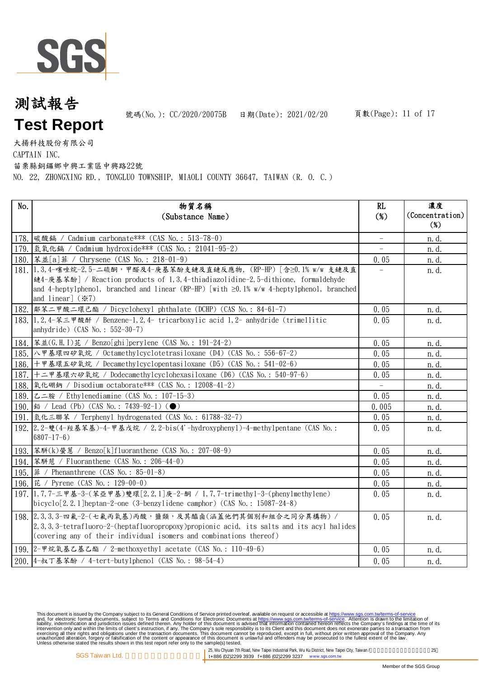

號碼(No.): CC/2020/20075B 日期(Date): 2021/02/20

大揚科技股份有限公司

CAPTAIN INC.

苗栗縣銅鑼鄉中興工業區中興路22號

NO. 22, ZHONGXING RD., TONGLUO TOWNSHIP, MIAOLI COUNTY 36647, TAIWAN (R. O. C.)

| No.  | 物質名稱                                                                                            | RL     | 濃度              |
|------|-------------------------------------------------------------------------------------------------|--------|-----------------|
|      | (Substance Name)                                                                                | $(\%)$ | (Concentration) |
|      |                                                                                                 |        | $(\%)$          |
|      | 178.  碳酸鎘 / Cadmium carbonate *** (CAS No.: 513-78-0)                                           |        | n. d.           |
|      | 179. 氢氧化镉 / Cadmium hydroxide *** (CAS No.: 21041-95-2)                                         |        | n. d.           |
|      | 180.   苯並[a] 菲 / Chrysene (CAS No.: 218-01-9)                                                   | 0.05   | n. d.           |
|      | 181. 1, 3, 4-噻唑烷-2, 5-二硫酮,甲醛及4-庚基苯酚支鏈及直鏈反應物, (RP-HP) [ 含≥0. 1% w/w 支鏈及直                         |        | n.d.            |
|      | 鏈4-庚基苯酚] / Reaction products of 1,3,4-thiadiazolidine-2,5-dithione, formaldehyde                |        |                 |
|      | and 4-heptylphenol, branched and linear (RP-HP) [with $\geq 0.1\%$ w/w 4-heptylphenol, branched |        |                 |
|      | and linear] $(\divideontimes 7)$                                                                |        |                 |
|      | 182.  鄰苯二甲酸二環己酯 / Dicyclohexyl phthalate (DCHP) (CAS No.: 84-61-7)                              | 0.05   | n. d.           |
|      | 183. 1, 2, 4-苯三甲酸酐 / Benzene-1, 2, 4- tricarboxylic acid 1, 2- anhydride (trimellitic           | 0.05   | n.d.            |
|      | anhydride) $(CAS No. : 552-30-7)$                                                               |        |                 |
|      | 184.   苯並(G, H, I) 芘 / Benzo[ghi] perylene (CAS No.: 191-24-2)                                  | 0.05   | n. d.           |
|      | 185. 入甲基環四矽氧烷 / Octamethylcyclotetrasiloxane (D4) (CAS No.: 556-67-2)                           | 0.05   | n. d.           |
|      | 186. 十甲基環五矽氧烷 / Decamethylcyclopentasiloxane (D5) (CAS No.: 541-02-6)                           | 0.05   | n.d.            |
|      | 187. 十二甲基環六矽氧烷 / Dodecamethylcyclohexasiloxane (D6) (CAS No.: 540-97-6)                         | 0.05   | n. d.           |
| 188. | 氧化硼鈉 / Disodium octaborate *** (CAS No.: 12008-41-2)                                            |        | n. d.           |
|      | 189. 乙二胺 / Ethylenediamine (CAS No.: 107-15-3)                                                  | 0.05   | n.d.            |
|      |                                                                                                 | 0.005  | n. d.           |
|      | 191. 氢化三聯苯 / Terphenyl hydrogenated (CAS No.: 61788-32-7)                                       | 0.05   | n. d.           |
|      | 192. 2. 2-雙(4-羥基苯基)-4-甲基戊烷 / 2, 2-bis(4'-hydroxypheny1)-4-methy1pentane (CAS No.:               | 0.05   | n.d.            |
|      | $6807 - 17 - 6$ )                                                                               |        |                 |
|      | 193.   苯駢(k) 螢蒠 / Benzo[k]fluoranthene (CAS No.: 207-08-9)                                      | 0.05   | n. d.           |
|      | 194.   苯駢苊 / Fluoranthene (CAS No.: 206-44-0)                                                   | 0.05   | n. d.           |
|      | 195. 第 / Phenanthrene (CAS No.: 85-01-8)                                                        | 0.05   | n. d.           |
|      | 196. 芘 / Pyrene (CAS No.: 129-00-0)                                                             | 0.05   | n. d.           |
|      | 197. 1, 7, 7-三甲基-3-(苯亞甲基)雙環[2, 2, 1]庚-2-酮 / 1, 7, 7-trimethy1-3-(phenylmethylene)               | 0.05   | n.d.            |
|      | bicyclo[2.2.1]heptan-2-one (3-benzylidene camphor) (CAS No.: 15087-24-8)                        |        |                 |
|      | 198. 2, 3, 3, 3-四氟-2-(七氟丙氧基)丙酸,鹽類,及其醯鹵(涵蓋他們其個別和組合之同分異構物) /                                      | 0.05   | n.d.            |
|      | 2, 3, 3, 3-tetrafluoro-2-(heptafluoropropoxy) propionic acid, its salts and its acyl halides    |        |                 |
|      | (covering any of their individual isomers and combinations thereof)                             |        |                 |
|      | 199. 2-甲烷氧基乙基乙酯 / 2-methoxyethyl acetate (CAS No.: 110-49-6)                                    | 0.05   | n. d.           |
|      | 200. 4-叔丁基苯酚 / 4-tert-buty1pheno1 (CAS No.: 98-54-4)                                            | 0.05   | n.d.            |

This document is issued by the Company subject to its General Conditions of Service printed overleaf, available on request or accessible at https://www.sgs.com.tw/terms-of-service<br>and, for electronic format documents, subj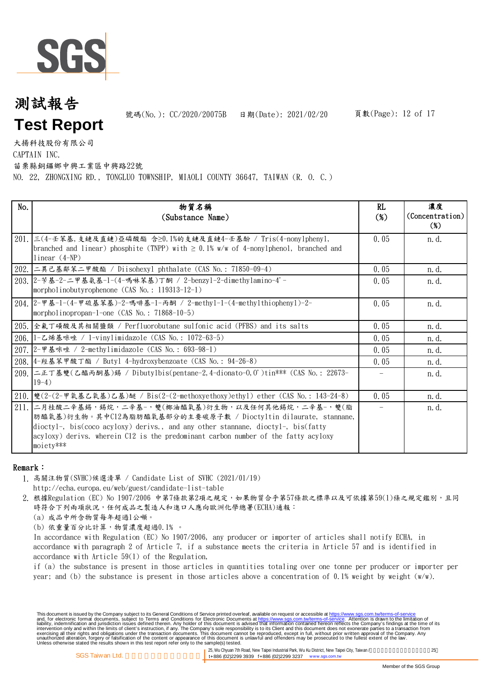

號碼(No.): CC/2020/20075B 日期(Date): 2021/02/20

大揚科技股份有限公司

CAPTAIN INC.

苗栗縣銅鑼鄉中興工業區中興路22號

NO. 22, ZHONGXING RD., TONGLUO TOWNSHIP, MIAOLI COUNTY 36647, TAIWAN (R. O. C.)

| No.  | 物質名稱<br>(Substance Name)                                                                                                                                                                                                                                                                                      | RL<br>$(\%)$             | 濃度<br>(Concentration)<br>$(\%)$ |
|------|---------------------------------------------------------------------------------------------------------------------------------------------------------------------------------------------------------------------------------------------------------------------------------------------------------------|--------------------------|---------------------------------|
|      | 201.  三(4-壬苯基,支鏈及直鏈)亞磷酸酯 含≥0.1%的支鏈及直鏈4-壬基酚 / Tris(4-nony1pheny1,<br>branched and linear) phosphite (TNPP) with $\geq 0.1\%$ w/w of 4-nonylphenol, branched and<br>linear $(4-NP)$                                                                                                                             | 0.05                     | n. d.                           |
|      | 202.  二異己基鄰苯二甲酸酯 / Diisohexyl phthalate (CAS No.: 71850-09-4)                                                                                                                                                                                                                                                 | 0.05                     | n. d.                           |
|      | 203. 2-苄基-2-二甲基氨基-1-(4-嗎啉苯基)丁酮 / 2-benzy1-2-dimethylamino-4'-<br>morpholinobutyrophenone (CAS No.: 119313-12-1)                                                                                                                                                                                               | 0.05                     | n. d.                           |
|      | 204. 2-甲基-1-(4-甲硫基苯基)-2-嗎啡基-1-丙酮 / 2-methy1-1-(4-methy1thiopheny1)-2-<br>morpholinopropan-1-one $(CAS No. : 71868-10-5)$                                                                                                                                                                                      | 0.05                     | n. d.                           |
|      | 205. 全氟丁磺酸及其相關鹽類 / Perfluorobutane sulfonic acid (PFBS) and its salts                                                                                                                                                                                                                                         | 0.05                     | n. d.                           |
|      | 206.  1-乙烯基咪唑 / 1-vinylimidazole (CAS No.: 1072-63-5)                                                                                                                                                                                                                                                         | 0.05                     | n. d.                           |
| 207. | 2-甲基咪唑 / 2-methylimidazole (CAS No.: 693-98-1)                                                                                                                                                                                                                                                                | 0.05                     | n. d.                           |
|      | 208. 4-羥基苯甲酸丁酯 / Butyl 4-hydroxybenzoate (CAS No.: 94-26-8)                                                                                                                                                                                                                                                   | 0.05                     | n. d.                           |
|      | 209. 二正丁基雙(乙醯丙酮基)錫 / Dibutylbis(pentane-2,4-dionato-0,0')tin*** (CAS No.: 22673-<br>$19-4)$                                                                                                                                                                                                                   | $\overline{\phantom{m}}$ | n. d.                           |
|      | 210. 雙(2-(2-甲氧基乙氧基)乙基)醚 / Bis(2-(2-methoxyethoxy)ethyl) ether (CAS No.: 143-24-8)                                                                                                                                                                                                                             | 0.05                     | n. d.                           |
|      | 211. 二月桂酸二辛基錫,錫烷,二辛基-,雙(椰油醯氧基)衍生物,以及任何其他錫烷,二辛基-,雙(脂<br> 肪醯氧基)衍生物。其中C12為脂肪醯氧基部分的主要碳原子數 / Dioctyltin dilaurate,stannane,<br>dioctyl-, bis(coco acyloxy) derivs., and any other stannane, dioctyl-, bis(fatty<br>acyloxy) derivs. wherein C12 is the predominant carbon number of the fatty acyloxy<br>moiety*** | $\overline{\phantom{m}}$ | n. d.                           |

#### Remark:

- 1. 高關注物質(SVHC)候選清單 / Candidate List of SVHC (2021/01/19)
	- http://echa.europa.eu/web/guest/candidate-list-table
- 2. 根據Regulation (EC) No 1907/2006 中第7條款第2項之規定,如果物質合乎第57條款之標準以及可依據第59(1)條之規定鑑別,且同 時符合下列兩項狀況,任何成品之製造人和進口人應向歐洲化學總署(ECHA)通報:
	- (a) 成品中所含物質每年超過1公噸。
	- (b) 依重量百分比計算,物質濃度超過0.1﹪。

In accordance with Regulation (EC) No 1907/2006, any producer or importer of articles shall notify ECHA, in accordance with paragraph 2 of Article 7, if a substance meets the criteria in Article 57 and is identified in accordance with Article 59(1) of the Regulation,

if (a) the substance is present in those articles in quantities totaling over one tonne per producer or importer per year; and (b) the substance is present in those articles above a concentration of 0.1% weight by weight  $(w/w)$ .

This document is issued by the Company subject to its General Conditions of Service printed overleaf, available on request or accessible at https://www.sgs.com.tw/terms-of-service<br>and, for electronic format documents, subj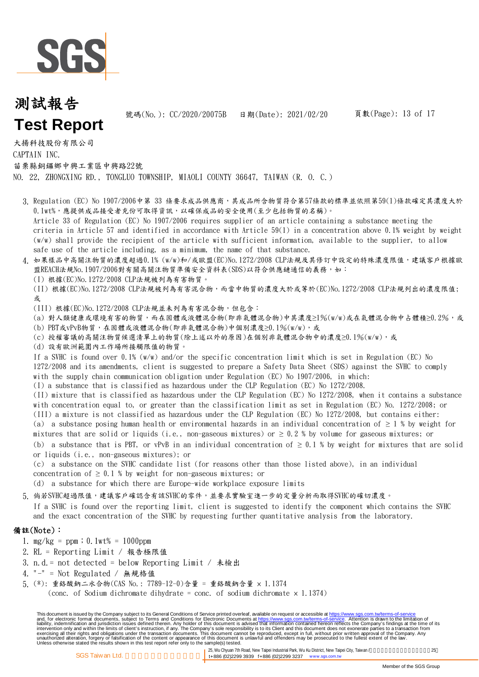

號碼(No.): CC/2020/20075B 日期(Date): 2021/02/20

大揚科技股份有限公司 CAPTAIN INC. 苗栗縣銅鑼鄉中興工業區中興路22號

NO. 22, ZHONGXING RD., TONGLUO TOWNSHIP, MIAOLI COUNTY 36647, TAIWAN (R. O. C.)

- 3. Regulation (EC) No 1907/2006中第 33 條要求成品供應商,其成品所含物質符合第57條款的標準並依照第59(1)條款確定其濃度大於 Article 33 of Regulation (EC) No 1907/2006 requires supplier of an article containing a substance meeting the criteria in Article 57 and identified in accordance with Article 59(1) in a concentration above 0.1% weight by weight (w/w) shall provide the recipient of the article with sufficient information, available to the supplier, to allow safe use of the article including, as a minimum, the name of that substance. 0.1wt%,應提供成品接受者充份可取得資訊,以確保成品的安全使用(至少包括物質的名稱)。
- 4. 如果樣品中高關注物質的濃度超過0.1% (w/w)和/或歐盟(EC)No.1272/2008 CLP法規及其修訂中設定的特殊濃度限值,建議客戶根據歐 盟REACH法規No.1907/2006對有關高關注物質準備安全資料表(SDS)以符合供應鏈通信的義務,如:
	- (I) 根據(EC)No.1272/2008 CLP法規被列為有害物質。

(II) 根據(EC)No.1272/2008 CLP法規被列為有害混合物,而當中物質的濃度大於或等於(EC)No.1272/2008 CLP法規列出的濃度限值; 或

- (III) 根據(EC)No.1272/2008 CLP法規並未列為有害混合物,但包含:
- (a) 對人類健康或環境有害的物質,而在固體或液體混合物(即非氣體混合物)中其濃度≥1%(w/w)或在氣體混合物中占體積≥0.2%,或
- (b) PBT或vPvB物質,在固體或液體混合物(即非氣體混合物)中個別濃度≥0.1%(w/w),或
- (c) 授權審議的高關注物質候選清單上的物質(除上述以外的原因)在個別非氣體混合物中的濃度≥0.1%(w/w),或
- (d) 設有歐洲範圍內工作場所接觸限值的物質。

If a SVHC is found over 0.1% (w/w) and/or the specific concentration limit which is set in Regulation (EC) No 1272/2008 and its amendments, client is suggested to prepare a Safety Data Sheet (SDS) against the SVHC to comply with the supply chain communication obligation under Regulation (EC) No 1907/2006, in which:

- (I) a substance that is classified as hazardous under the CLP Regulation (EC) No 1272/2008.
- (II) mixture that is classified as hazardous under the CLP Regulation (EC) No 1272/2008, when it contains a substance with concentration equal to, or greater than the classification limit as set in Regulation (EC) No. 1272/2008; or (III) a mixture is not classified as hazardous under the CLP Regulation (EC) No 1272/2008, but contains either:
- (a) a substance posing human health or environmental hazards in an individual concentration of  $\geq 1$  % by weight for
- mixtures that are solid or liquids (i.e., non-gaseous mixtures) or  $\geq 0.2$  % by volume for gaseous mixtures; or

(b) a substance that is PBT, or vPvB in an individual concentration of  $\geq 0.1$  % by weight for mixtures that are solid or liquids (i.e., non-gaseous mixtures); or

(c) a substance on the SVHC candidate list (for reasons other than those listed above), in an individual concentration of  $\geq 0.1$  % by weight for non-gaseous mixtures; or

(d) a substance for which there are Europe-wide workplace exposure limits

5. 倘若SVHC超過限值,建議客戶確認含有該SVHC的零件,並要求實驗室進一步的定量分析而取得SVHC的確切濃度。

If a SVHC is found over the reporting limit, client is suggested to identify the component which contains the SVHC and the exact concentration of the SVHC by requesting further quantitative analysis from the laboratory.

#### 備註(Note):

- 1. mg/kg = ppm;0.1wt% = 1000ppm
- 2. RL = Reporting Limit / 報告極限值
- 3. n.d.= not detected = below Reporting Limit / 未檢出
- 4. "-" = Not Regulated / 無規格值
- 5. (\*): 重鉻酸鈉二水合物(CAS No.: 7789-12-0)含量 = 重鉻酸鈉含量 × 1.1374

(conc. of Sodium dichromate dihydrate = conc. of sodium dichromate  $\times$  1.1374)

This document is issued by the Company subject to its General Conditions of Service printed overleaf, available on request or accessible at https://www.sgs.com.tw/terms-of-service<br>and, for electronic format documents, subj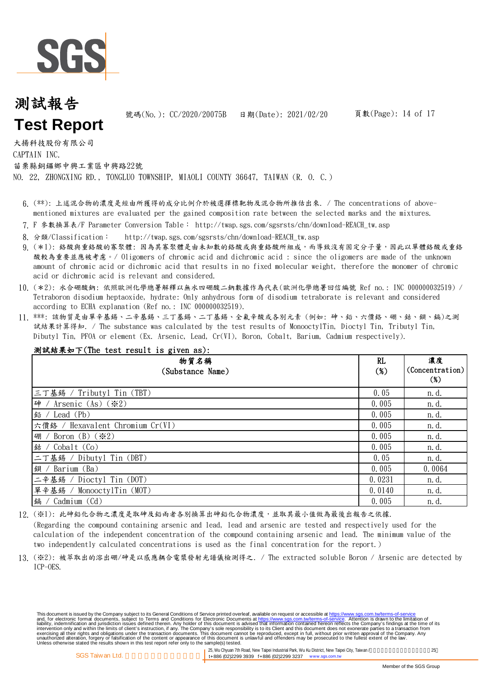

號碼(No.): CC/2020/20075B 日期(Date): 2021/02/20

大揚科技股份有限公司

CAPTAIN INC.

苗栗縣銅鑼鄉中興工業區中興路22號

NO. 22, ZHONGXING RD., TONGLUO TOWNSHIP, MIAOLI COUNTY 36647, TAIWAN (R. O. C.)

- 6. (\*\*): 上述混合物的濃度是經由所獲得的成分比例介於被選擇標靶物及混合物所推估出來. / The concentrations of abovementioned mixtures are evaluated per the gained composition rate between the selected marks and the mixtures.
- 7. F 參數換算表/F Parameter Conversion Table: http://twap.sgs.com/sgsrsts/chn/download-REACH\_tw.asp
- 8. 分類/Classification: http://twap.sgs.com/sgsrsts/chn/download-REACH\_tw.asp
- 9. (\*1): 络酸與重絡酸的寡聚體: 因為其寡聚體是由未知數的絡酸或與重鉻酸所組成,而導致沒有固定分子量,因此以單體鉻酸或重鉻 酸較為重要並應被考慮。/ Oligomers of chromic acid and dichromic acid : since the oligomers are made of the unknown amount of chromic acid or dichromic acid that results in no fixed molecular weight, therefore the monomer of chromic acid or dichromic acid is relevant and considered.
- 10. (\*2): 水合硼酸鈉: 依照歐洲化學總署解釋以無水四硼酸二鈉數據作為代表(歐洲化學總署回信編號 Ref no.: INC 000000032519) / Tetraboron disodium heptaoxide, hydrate: Only anhydrous form of disodium tetraborate is relevant and considered according to ECHA explanation (Ref no.: INC 000000032519).
- 11. \*\*\*: 該物質是由單辛基錫、二辛基錫、三丁基錫、二丁基錫、全氟辛酸或各別元素 (例如: 砷、鉛、六價鉻、硼、鈷、鋇、鎘)之測 試結果計算得知. / The substance was calculated by the test results of MonooctylTin, Dioctyl Tin, Tributyl Tin, Dibutyl Tin, PFOA or element (Ex. Arsenic, Lead, Cr(VI), Boron, Cobalt, Barium, Cadmium respectively).

| 测試結果如下(The test result is given as):  |              |                                 |
|---------------------------------------|--------------|---------------------------------|
| 物質名稱<br>(Substance Name)              | RL<br>$(\%)$ | 濃度<br>(Concentration)<br>$(\%)$ |
| 三丁基錫 / Tributyl Tin (TBT)             | 0.05         | n. d.                           |
| 砷 / Arsenic (As) $(\divideontimes 2)$ | 0.005        | n. d.                           |
| 鉛 / Lead (Pb)                         | 0.005        | n. d.                           |
| 六價鉻 / Hexavalent Chromium Cr(VI)      | 0.005        | n. d.                           |
| 硼 / Boron (B) $(\divideontimes 2)$    | 0.005        | n. d.                           |
| 鈷 / Cobalt (Co)                       | 0.005        | n. d.                           |
| 二丁基錫 / Dibutyl Tin (DBT)              | 0.05         | n. d.                           |
| 鋇 / Barium (Ba)                       | 0.005        | 0.0064                          |
| 二辛基錫 / Dioctyl Tin (DOT)              | 0.0231       | n. d.                           |
| 單辛基錫 / MonooctylTin (MOT)             | 0.0140       | n. d.                           |
| 鎘 / Cadmium (Cd)                      | 0.005        | n. d.                           |

12. (※1): 此砷鉛化合物之濃度是取砷及鉛兩者各別換算出砷鉛化合物濃度,並取其最小值做為最後出報告之依據. (Regarding the compound containing arsenic and lead, lead and arsenic are tested and respectively used for the calculation of the independent concentration of the compound containing arsenic and lead. The minimum value of the two independently calculated concentrations is used as the final concentration for the report.)

13. (※2): 被萃取出的溶出硼/砷是以感應耦合電漿發射光譜儀檢測得之. / The extracted soluble Boron / Arsenic are detected by ICP-OES.

This document is issued by the Company subject to its General Conditions of Service printed overleaf, available on request or accessible at https://www.sgs.com.tw/terms-of-service<br>and, for electronic format documents, subj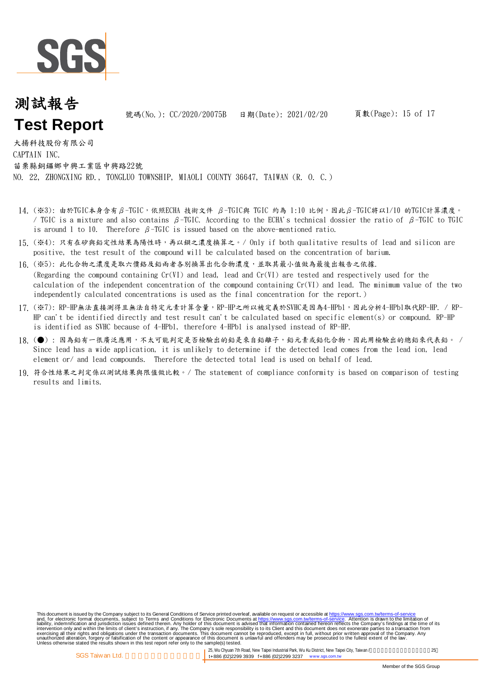

號碼(No.): CC/2020/20075B 日期(Date): 2021/02/20

大揚科技股份有限公司 CAPTAIN INC. 苗栗縣銅鑼鄉中興工業區中興路22號 NO. 22, ZHONGXING RD., TONGLUO TOWNSHIP, MIAOLI COUNTY 36647, TAIWAN (R. O. C.)

- 14. (※3): 由於TGIC本身含有β-TGIC,依照ECHA 技術文件 β-TGIC與 TGIC 約為 1:10 比例,因此β-TGIC將以1/10 的TGIC計算濃度。 / TGIC is a mixture and also contains  $β$ -TGIC. According to the ECHA's technical dossier the ratio of  $β$ -TGIC to TGIC is around 1 to 10. Therefore  $\beta$ -TGIC is issued based on the above-mentioned ratio.
- 15. (※4): 只有在矽與鉛定性結果為陽性時,再以鋇之濃度換算之。/ Only if both qualitative results of lead and silicon are positive, the test result of the compound will be calculated based on the concentration of barium.
- 16. (※5): 此化合物之濃度是取六價鉻及鉛兩者各別換算出化合物濃度,並取其最小值做為最後出報告之依據.
- (Regarding the compound containing Cr(VI) and lead, lead and Cr(VI) are tested and respectively used for the calculation of the independent concentration of the compound containing  $Cr(VI)$  and lead. The minimum value of the two independently calculated concentrations is used as the final concentration for the report.)
- 17. (※7): RP-HP無法直接測得且無法自特定元素計算含量,RP-HP之所以被定義於SVHC是因為4-HPbl,因此分析4-HPbl取代RP-HP. / RP-HP can't be identified directly and test result can't be calculated based on specific element(s) or compound. RP-HP is identified as SVHC because of 4-HPbl, therefore 4-HPbl is analysed instead of RP-HP.
- 18. (●) : 因為鉛有一很廣泛應用,不太可能判定是否檢驗出的鉛是來自鉛離子,鉛元素或鉛化合物,因此用檢驗出的總鉛來代表鉛。 / Since lead has a wide application, it is unlikely to determine if the detected lead comes from the lead ion, lead element or/ and lead compounds. Therefore the detected total lead is used on behalf of lead.
- 19. 符合性結果之判定係以測試結果與限值做比較。/ The statement of compliance conformity is based on comparison of testing results and limits.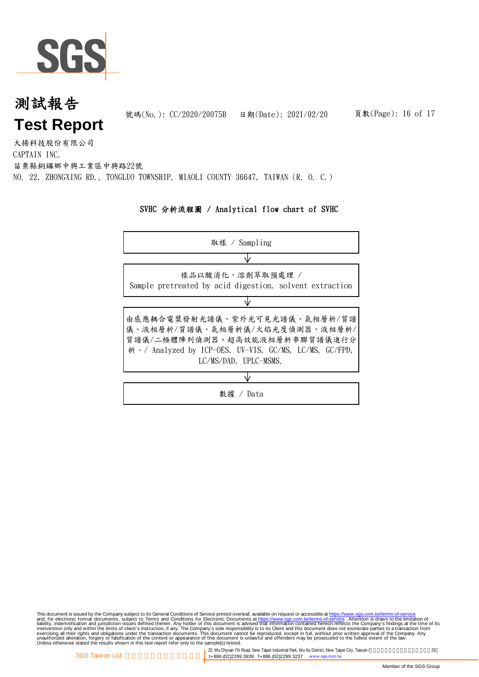

號碼(No.): CC/2020/20075B 日期(Date): 2021/02/20

大揚科技股份有限公司 CAPTAIN INC. 苗栗縣銅鑼鄉中興工業區中興路22號 NO. 22, ZHONGXING RD., TONGLUO TOWNSHIP, MIAOLI COUNTY 36647, TAIWAN (R. O. C.)

#### SVHC 分析流程圖 / Analytical flow chart of SVHC

| 取樣 / Sampling                                                                                                                                                                       |
|-------------------------------------------------------------------------------------------------------------------------------------------------------------------------------------|
|                                                                                                                                                                                     |
| 樣品以酸消化,溶劑萃取預處理 /<br>Sample pretreated by acid digestion, solvent extraction                                                                                                         |
|                                                                                                                                                                                     |
| 由感應耦合電漿發射光譜儀、紫外光可見光譜儀、氣相層析/質譜<br>儀、液相層析/質譜儀、氣相層析儀/火焰光度偵測器、液相層析/<br>質譜儀/二極體陣列偵測器、超高效能液相層析串聯質譜儀進行分<br>析。/ Analyzed by ICP-OES, UV-VIS, GC/MS, LC/MS, GC/FPD,<br>LC/MS/DAD, UPLC-MSMS. |
|                                                                                                                                                                                     |
| / Data<br>數據                                                                                                                                                                        |

This document is issued by the Company subject to its General Conditions of Service printed overleaf, available on request or accessible at https://www.sgs.com.tw/terms-of-service<br>and, for electronic format documents, subj